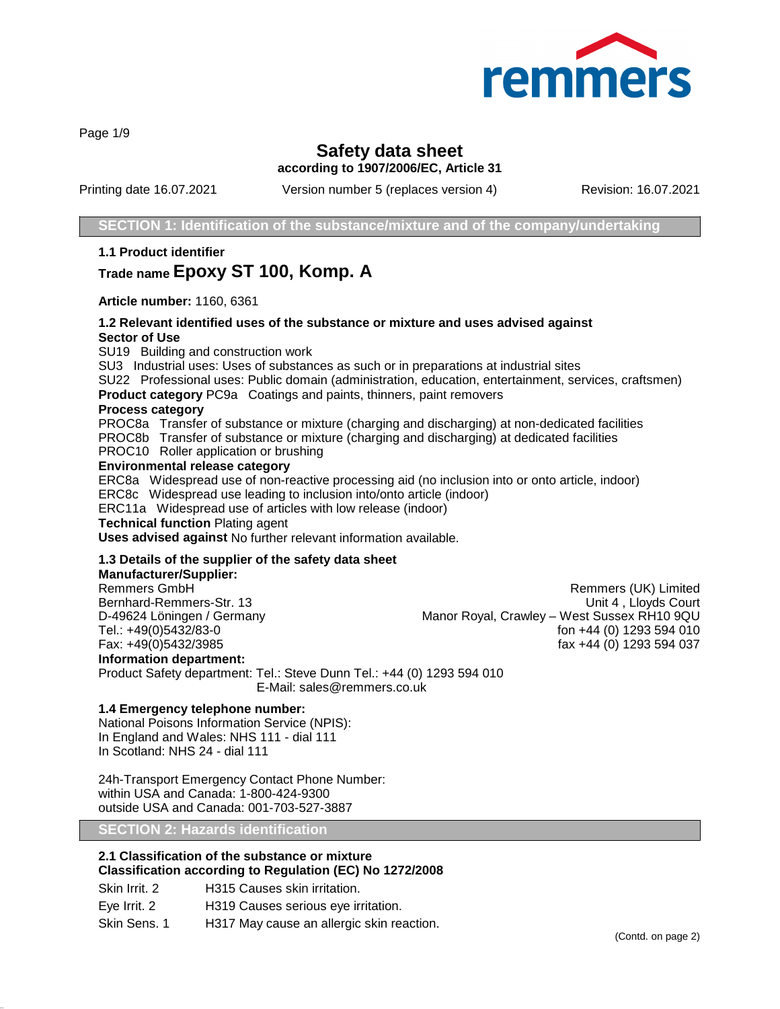

Page 1/9

# **Safety data sheet**

**according to 1907/2006/EC, Article 31**

Printing date 16.07.2021 Version number 5 (replaces version 4) Revision: 16.07.2021

**SECTION 1: Identification of the substance/mixture and of the company/undertaking**

**1.1 Product identifier**

# **Trade name Epoxy ST 100, Komp. A**

**Article number:** 1160, 6361

### **1.2 Relevant identified uses of the substance or mixture and uses advised against Sector of Use**

SU19 Building and construction work

SU3 Industrial uses: Uses of substances as such or in preparations at industrial sites

SU22 Professional uses: Public domain (administration, education, entertainment, services, craftsmen)

**Product category** PC9a Coatings and paints, thinners, paint removers

#### **Process category**

PROC8a Transfer of substance or mixture (charging and discharging) at non-dedicated facilities PROC8b Transfer of substance or mixture (charging and discharging) at dedicated facilities

PROC10 Roller application or brushing

#### **Environmental release category**

ERC8a Widespread use of non-reactive processing aid (no inclusion into or onto article, indoor)

ERC8c Widespread use leading to inclusion into/onto article (indoor)

ERC11a Widespread use of articles with low release (indoor)

**Technical function** Plating agent

**Uses advised against** No further relevant information available.

## **1.3 Details of the supplier of the safety data sheet**

## **Manufacturer/Supplier:**

Remmers GmbH **Remmers (UK)** Limited Bernhard-Remmers-Str. 13 Unit 4 , Lloyds Court D-49624 Löningen / Germany Manor Royal, Crawley – West Sussex RH10 9QU<br>Tel.: +49(0)5432/83-0 fon +44 (0) 1293 594 010 Tel.: +49(0)5432/83-0 **for the state of the state of the state of the state of the state of the state of the state of the state of the state of the state of the state of the state of the state of the state of the state of** fax +44 (0) 1293 594 037 **Information department:** Product Safety department: Tel.: Steve Dunn Tel.: +44 (0) 1293 594 010

E-Mail: sales@remmers.co.uk

#### **1.4 Emergency telephone number:**

National Poisons Information Service (NPIS): In England and Wales: NHS 111 - dial 111 In Scotland: NHS 24 - dial 111

24h-Transport Emergency Contact Phone Number: within USA and Canada: 1-800-424-9300 outside USA and Canada: 001-703-527-3887

**SECTION 2: Hazards identification**

## **2.1 Classification of the substance or mixture Classification according to Regulation (EC) No 1272/2008**

Skin Irrit. 2 **H315 Causes skin irritation.** Eye Irrit. 2 H319 Causes serious eye irritation. Skin Sens. 1 H317 May cause an allergic skin reaction.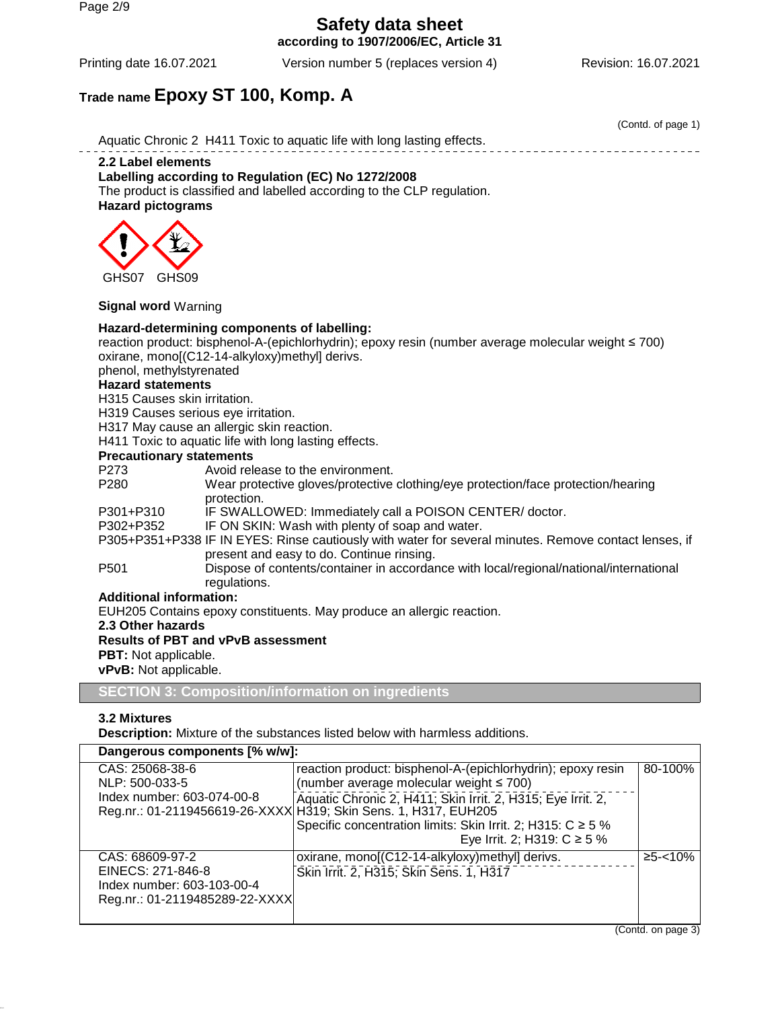Page 2/9

**Safety data sheet according to 1907/2006/EC, Article 31**

Printing date 16.07.2021 Version number 5 (replaces version 4) Revision: 16.07.2021

(Contd. of page 1)

# **Trade name Epoxy ST 100, Komp. A**

Aquatic Chronic 2 H411 Toxic to aquatic life with long lasting effects. **2.2 Label elements**

## **Labelling according to Regulation (EC) No 1272/2008**

The product is classified and labelled according to the CLP regulation. **Hazard pictograms**



## **Signal word** Warning

## **Hazard-determining components of labelling:**

reaction product: bisphenol-A-(epichlorhydrin); epoxy resin (number average molecular weight ≤ 700) oxirane, mono[(C12-14-alkyloxy)methyl] derivs.

phenol, methylstyrenated

#### **Hazard statements**

H315 Causes skin irritation.

H319 Causes serious eye irritation.

H317 May cause an allergic skin reaction.

H411 Toxic to aquatic life with long lasting effects.

#### **Precautionary statements**

P273 Avoid release to the environment.<br>
P280 Wear protective gloves/protective Wear protective gloves/protective clothing/eye protection/face protection/hearing protection.

P301+P310 IF SWALLOWED: Immediately call a POISON CENTER/ doctor.<br>P302+P352 IF ON SKIN: Wash with plenty of soap and water.

IF ON SKIN: Wash with plenty of soap and water.

P305+P351+P338 IF IN EYES: Rinse cautiously with water for several minutes. Remove contact lenses, if present and easy to do. Continue rinsing.

P501 Dispose of contents/container in accordance with local/regional/national/international regulations.

#### **Additional information:**

EUH205 Contains epoxy constituents. May produce an allergic reaction.

**2.3 Other hazards**

## **Results of PBT and vPvB assessment**

**PBT:** Not applicable.

**vPvB:** Not applicable.

**SECTION 3: Composition/information on ingredients**

## **3.2 Mixtures**

**Description:** Mixture of the substances listed below with harmless additions.

| Dangerous components [% w/w]:                                                                        |                                                                                                                                                                                                                                                                                                                                                  |               |
|------------------------------------------------------------------------------------------------------|--------------------------------------------------------------------------------------------------------------------------------------------------------------------------------------------------------------------------------------------------------------------------------------------------------------------------------------------------|---------------|
| CAS: 25068-38-6<br>NLP: 500-033-5<br>Index number: 603-074-00-8                                      | reaction product: bisphenol-A-(epichlorhydrin); epoxy resin<br>(number average molecular weight $\leq 700$ )<br>Aquatic Chronic 2, H411; Skin Irrit. 2, H315; Eye Irrit. 2,<br>Reg.nr.: 01-2119456619-26-XXXX H319; Skin Sens. 1, H317, EUH205<br>Specific concentration limits: Skin Irrit. 2; H315: C ≥ 5 %<br>Eye Irrit. 2; H319: $C \ge 5$ % | 80-100%       |
| CAS: 68609-97-2<br>EINECS: 271-846-8<br>Index number: 603-103-00-4<br>Reg.nr.: 01-2119485289-22-XXXX | oxirane, mono[(C12-14-alkyloxy)methyl] derivs.<br>Skin Irrit. 2, H315; Skin Sens. 1, H317                                                                                                                                                                                                                                                        | $≥5 - < 10\%$ |

(Contd. on page 3)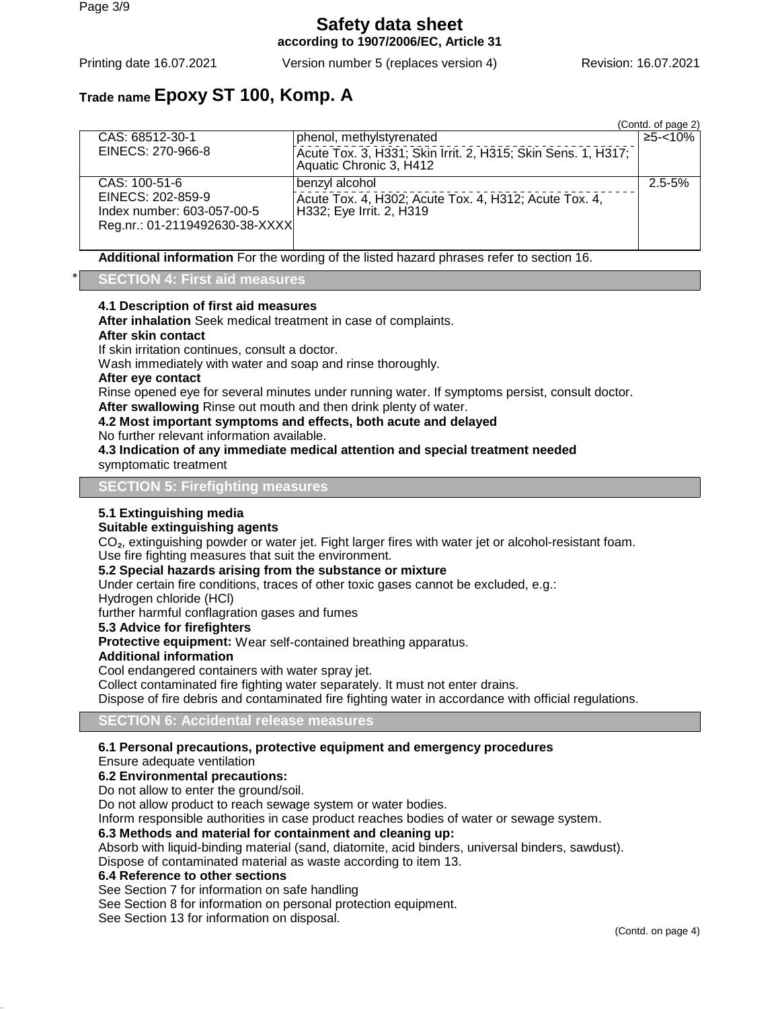**Safety data sheet according to 1907/2006/EC, Article 31**

Printing date 16.07.2021 Version number 5 (replaces version 4) Revision: 16.07.2021

# **Trade name Epoxy ST 100, Komp. A**

|                                |                                                                                         | (Contd. of page 2) |
|--------------------------------|-----------------------------------------------------------------------------------------|--------------------|
| CAS: 68512-30-1                | phenol, methylstyrenated                                                                | $≥5 - <10%$        |
| EINECS: 270-966-8              | Acute Tox. 3, H331; Skin Irrit. 2, H315; Skin Sens. 1, H317;<br>Aquatic Chronic 3, H412 |                    |
| CAS: 100-51-6                  | benzyl alcohol                                                                          | $2.5 - 5%$         |
| EINECS: 202-859-9              | Acute Tox. 4, H302; Acute Tox. 4, H312; Acute Tox. 4,                                   |                    |
| Index number: 603-057-00-5     | H332; Eye Irrit. 2, H319                                                                |                    |
| Reg.nr.: 01-2119492630-38-XXXX |                                                                                         |                    |
|                                |                                                                                         |                    |

**Additional information** For the wording of the listed hazard phrases refer to section 16.

## \* **SECTION 4: First aid measures**

#### **4.1 Description of first aid measures**

**After inhalation** Seek medical treatment in case of complaints.

#### **After skin contact**

If skin irritation continues, consult a doctor.

Wash immediately with water and soap and rinse thoroughly.

#### **After eye contact**

Rinse opened eye for several minutes under running water. If symptoms persist, consult doctor.

**After swallowing** Rinse out mouth and then drink plenty of water.

## **4.2 Most important symptoms and effects, both acute and delayed**

No further relevant information available.

**4.3 Indication of any immediate medical attention and special treatment needed** symptomatic treatment

**SECTION 5: Firefighting measures**

#### **5.1 Extinguishing media**

#### **Suitable extinguishing agents**

CO<sub>2</sub>, extinguishing powder or water jet. Fight larger fires with water jet or alcohol-resistant foam. Use fire fighting measures that suit the environment.

**5.2 Special hazards arising from the substance or mixture**

Under certain fire conditions, traces of other toxic gases cannot be excluded, e.g.:

Hydrogen chloride (HCl)

further harmful conflagration gases and fumes

## **5.3 Advice for firefighters**

**Protective equipment:** Wear self-contained breathing apparatus.

#### **Additional information**

Cool endangered containers with water spray jet.

Collect contaminated fire fighting water separately. It must not enter drains.

Dispose of fire debris and contaminated fire fighting water in accordance with official regulations.

#### **SECTION 6: Accidental release measures**

#### **6.1 Personal precautions, protective equipment and emergency procedures**

Ensure adequate ventilation

## **6.2 Environmental precautions:**

Do not allow to enter the ground/soil.

Do not allow product to reach sewage system or water bodies.

Inform responsible authorities in case product reaches bodies of water or sewage system.

#### **6.3 Methods and material for containment and cleaning up:**

Absorb with liquid-binding material (sand, diatomite, acid binders, universal binders, sawdust).

Dispose of contaminated material as waste according to item 13.

## **6.4 Reference to other sections**

See Section 7 for information on safe handling

See Section 8 for information on personal protection equipment.

See Section 13 for information on disposal.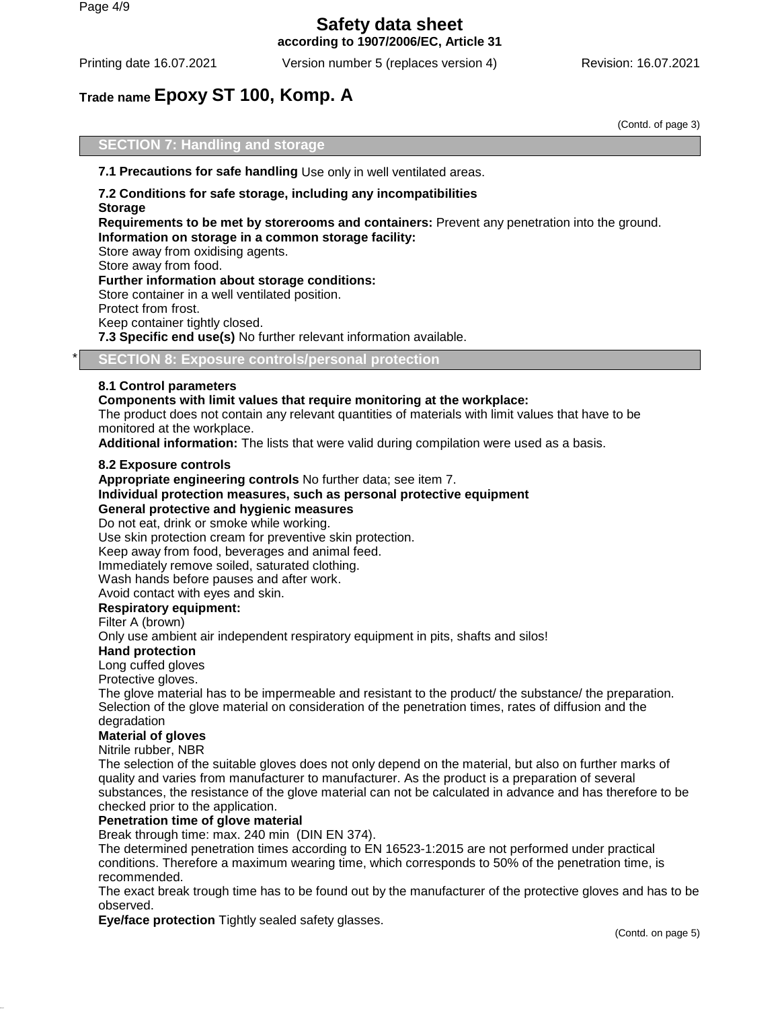**according to 1907/2006/EC, Article 31**

Printing date 16.07.2021 Version number 5 (replaces version 4) Revision: 16.07.2021

# **Trade name Epoxy ST 100, Komp. A**

(Contd. of page 3)

## **SECTION 7: Handling and storage**

**7.1 Precautions for safe handling** Use only in well ventilated areas.

# **7.2 Conditions for safe storage, including any incompatibilities**

**Storage**

**Requirements to be met by storerooms and containers:** Prevent any penetration into the ground. **Information on storage in a common storage facility:**

Store away from oxidising agents.

Store away from food.

**Further information about storage conditions:**

Store container in a well ventilated position.

Protect from frost.

Keep container tightly closed.

**7.3 Specific end use(s)** No further relevant information available.

**SECTION 8: Exposure controls/personal protection** 

#### **8.1 Control parameters**

**Components with limit values that require monitoring at the workplace:**

The product does not contain any relevant quantities of materials with limit values that have to be monitored at the workplace.

**Additional information:** The lists that were valid during compilation were used as a basis.

#### **8.2 Exposure controls**

**Appropriate engineering controls** No further data; see item 7.

#### **Individual protection measures, such as personal protective equipment General protective and hygienic measures**

Do not eat, drink or smoke while working.

Use skin protection cream for preventive skin protection.

Keep away from food, beverages and animal feed.

Immediately remove soiled, saturated clothing.

Wash hands before pauses and after work.

Avoid contact with eyes and skin.

#### **Respiratory equipment:**

Filter A (brown)

Only use ambient air independent respiratory equipment in pits, shafts and silos!

#### **Hand protection**

Long cuffed gloves

Protective gloves.

The glove material has to be impermeable and resistant to the product/ the substance/ the preparation. Selection of the glove material on consideration of the penetration times, rates of diffusion and the degradation

#### **Material of gloves**

#### Nitrile rubber, NBR

The selection of the suitable gloves does not only depend on the material, but also on further marks of quality and varies from manufacturer to manufacturer. As the product is a preparation of several substances, the resistance of the glove material can not be calculated in advance and has therefore to be checked prior to the application.

#### **Penetration time of glove material**

Break through time: max. 240 min (DIN EN 374).

The determined penetration times according to EN 16523-1:2015 are not performed under practical conditions. Therefore a maximum wearing time, which corresponds to 50% of the penetration time, is recommended.

The exact break trough time has to be found out by the manufacturer of the protective gloves and has to be observed.

**Eye/face protection** Tightly sealed safety glasses.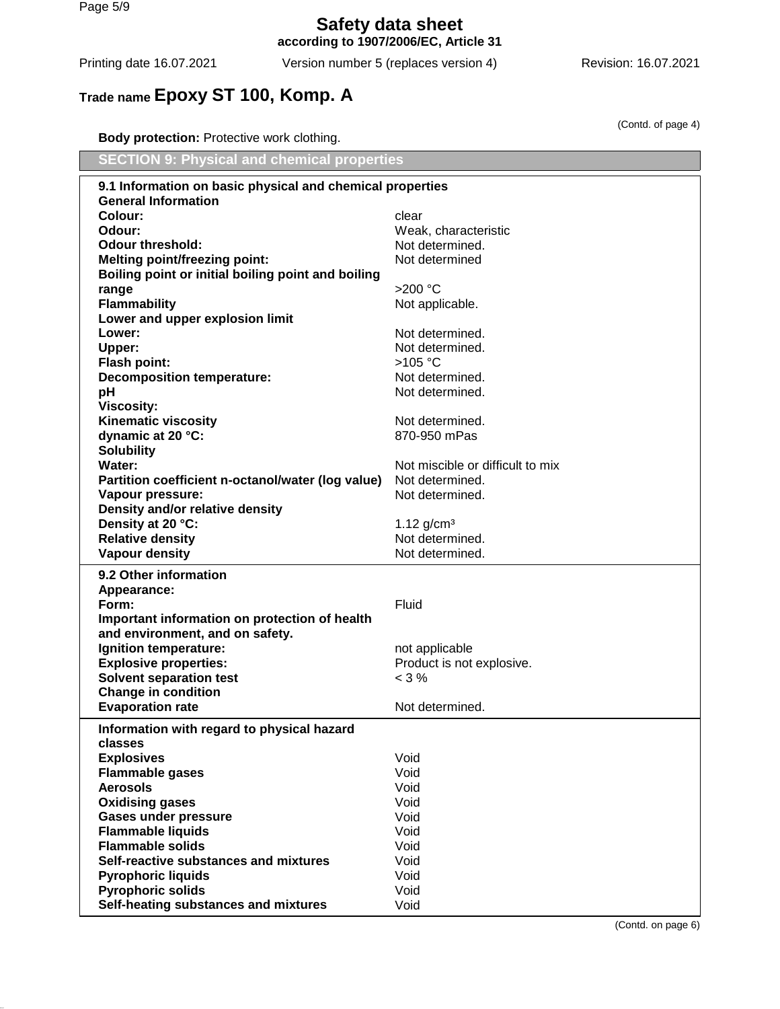Page 5/9

**Safety data sheet according to 1907/2006/EC, Article 31**

Printing date 16.07.2021 Version number 5 (replaces version 4) Revision: 16.07.2021

(Contd. of page 4)

# **Trade name Epoxy ST 100, Komp. A**

**Body protection:** Protective work clothing.

| <b>SECTION 9: Physical and chemical properties</b>        |                                  |  |
|-----------------------------------------------------------|----------------------------------|--|
| 9.1 Information on basic physical and chemical properties |                                  |  |
| <b>General Information</b>                                |                                  |  |
| Colour:                                                   | clear                            |  |
| Odour:                                                    | Weak, characteristic             |  |
| <b>Odour threshold:</b>                                   | Not determined.                  |  |
| <b>Melting point/freezing point:</b>                      | Not determined                   |  |
| Boiling point or initial boiling point and boiling        |                                  |  |
| range                                                     | $>200$ °C                        |  |
| <b>Flammability</b>                                       | Not applicable.                  |  |
| Lower and upper explosion limit                           |                                  |  |
| Lower:                                                    | Not determined.                  |  |
| <b>Upper:</b>                                             | Not determined.                  |  |
| <b>Flash point:</b>                                       | >105 °C                          |  |
| <b>Decomposition temperature:</b>                         | Not determined.                  |  |
| pH                                                        | Not determined.                  |  |
| <b>Viscosity:</b>                                         |                                  |  |
| <b>Kinematic viscosity</b>                                | Not determined.                  |  |
| dynamic at 20 °C:                                         | 870-950 mPas                     |  |
| <b>Solubility</b>                                         |                                  |  |
| Water:                                                    | Not miscible or difficult to mix |  |
| Partition coefficient n-octanol/water (log value)         | Not determined.                  |  |
| Vapour pressure:                                          | Not determined.                  |  |
| Density and/or relative density                           |                                  |  |
| Density at 20 °C:                                         | 1.12 $g/cm^{3}$                  |  |
| <b>Relative density</b>                                   | Not determined.                  |  |
| <b>Vapour density</b>                                     | Not determined.                  |  |
| 9.2 Other information                                     |                                  |  |
| Appearance:                                               |                                  |  |
| Form:                                                     | Fluid                            |  |
| Important information on protection of health             |                                  |  |
| and environment, and on safety.                           |                                  |  |
| Ignition temperature:                                     | not applicable                   |  |
| <b>Explosive properties:</b>                              | Product is not explosive.        |  |
| <b>Solvent separation test</b>                            | $< 3\%$                          |  |
| <b>Change in condition</b>                                |                                  |  |
| <b>Evaporation rate</b>                                   | Not determined.                  |  |
| Information with regard to physical hazard                |                                  |  |
| classes                                                   |                                  |  |
| <b>Explosives</b>                                         | Void                             |  |
| <b>Flammable gases</b>                                    | Void                             |  |
| <b>Aerosols</b>                                           | Void                             |  |
| <b>Oxidising gases</b>                                    | Void                             |  |
| <b>Gases under pressure</b>                               | Void                             |  |
| <b>Flammable liquids</b>                                  | Void                             |  |
| <b>Flammable solids</b>                                   | Void                             |  |
| Self-reactive substances and mixtures                     | Void                             |  |
| <b>Pyrophoric liquids</b>                                 | Void                             |  |
| <b>Pyrophoric solids</b>                                  | Void                             |  |
| Self-heating substances and mixtures                      | Void                             |  |

(Contd. on page 6)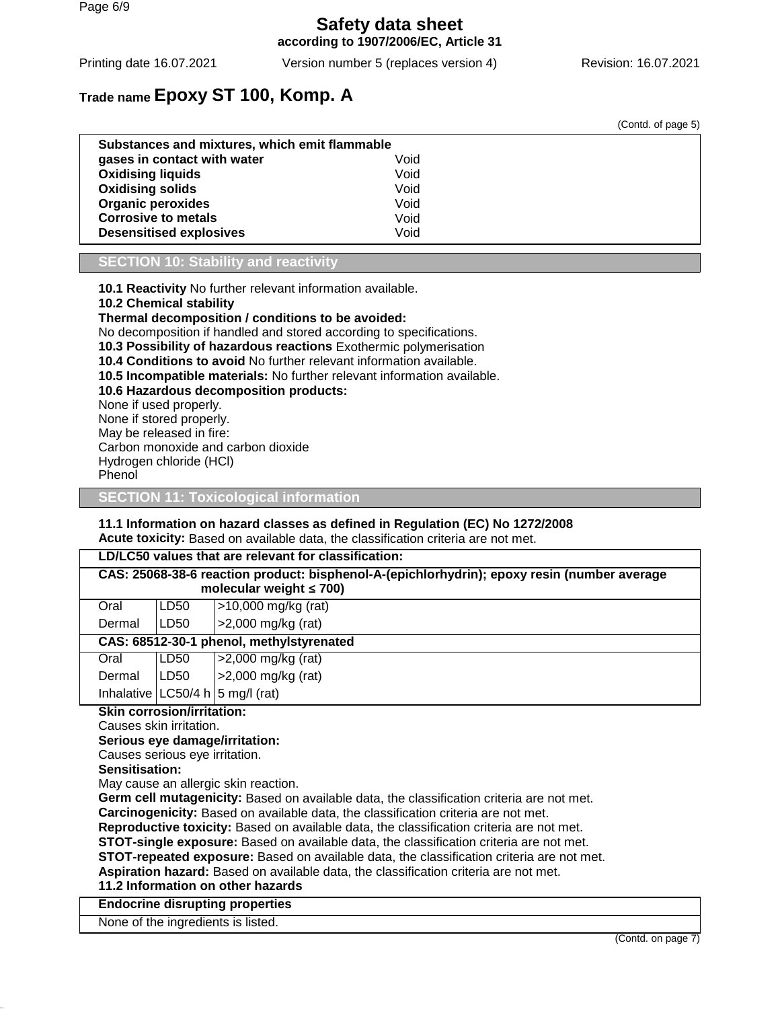# **Safety data sheet according to 1907/2006/EC, Article 31**

Printing date 16.07.2021 Version number 5 (replaces version 4) Revision: 16.07.2021

(Contd. of page 5)

# **Trade name Epoxy ST 100, Komp. A**

|                                               |      | ooma. or pago of |
|-----------------------------------------------|------|------------------|
| Substances and mixtures, which emit flammable |      |                  |
| gases in contact with water                   | Void |                  |
| <b>Oxidising liquids</b>                      | Void |                  |
| <b>Oxidising solids</b>                       | Void |                  |
| <b>Organic peroxides</b>                      | Void |                  |
| <b>Corrosive to metals</b>                    | Void |                  |
| <b>Desensitised explosives</b>                | Void |                  |
|                                               |      |                  |

#### **SECTION 10: Stability and reactivity**

**10.1 Reactivity** No further relevant information available.

**10.2 Chemical stability**

**Thermal decomposition / conditions to be avoided:**

No decomposition if handled and stored according to specifications.

**10.3 Possibility of hazardous reactions** Exothermic polymerisation

**10.4 Conditions to avoid** No further relevant information available.

**10.5 Incompatible materials:** No further relevant information available.

#### **10.6 Hazardous decomposition products:**

None if used properly.

None if stored properly.

May be released in fire:

Carbon monoxide and carbon dioxide

Hydrogen chloride (HCl)

Phenol

**SECTION 11: Toxicological information**

#### **11.1 Information on hazard classes as defined in Regulation (EC) No 1272/2008 Acute toxicity:** Based on available data, the classification criteria are not met.

|                                                                          |                                          |      | LD/LC50 values that are relevant for classification:                                                                         |
|--------------------------------------------------------------------------|------------------------------------------|------|------------------------------------------------------------------------------------------------------------------------------|
|                                                                          |                                          |      | CAS: 25068-38-6 reaction product: bisphenol-A-(epichlorhydrin); epoxy resin (number average<br>molecular weight $\leq 700$ ) |
|                                                                          | Oral                                     | LD50 | $>10,000$ mg/kg (rat)                                                                                                        |
|                                                                          | Dermal                                   | LD50 | >2,000 mg/kg (rat)                                                                                                           |
|                                                                          | CAS: 68512-30-1 phenol, methylstyrenated |      |                                                                                                                              |
|                                                                          | Oral                                     | LD50 | >2,000 mg/kg (rat)                                                                                                           |
|                                                                          | Dermal                                   | LD50 | $>2,000$ mg/kg (rat)                                                                                                         |
| Inhalative $ LC50/4 h 5 mg/l$ (rat)<br><b>Skin corrosion/irritation:</b> |                                          |      |                                                                                                                              |
|                                                                          |                                          |      |                                                                                                                              |

Causes skin irritation.

**Serious eye damage/irritation:**

Causes serious eye irritation.

**Sensitisation:**

May cause an allergic skin reaction.

**Germ cell mutagenicity:** Based on available data, the classification criteria are not met.

**Carcinogenicity:** Based on available data, the classification criteria are not met.

**Reproductive toxicity:** Based on available data, the classification criteria are not met.

**STOT-single exposure:** Based on available data, the classification criteria are not met.

**STOT-repeated exposure:** Based on available data, the classification criteria are not met.

**Aspiration hazard:** Based on available data, the classification criteria are not met.

**11.2 Information on other hazards**

**Endocrine disrupting properties**

None of the ingredients is listed.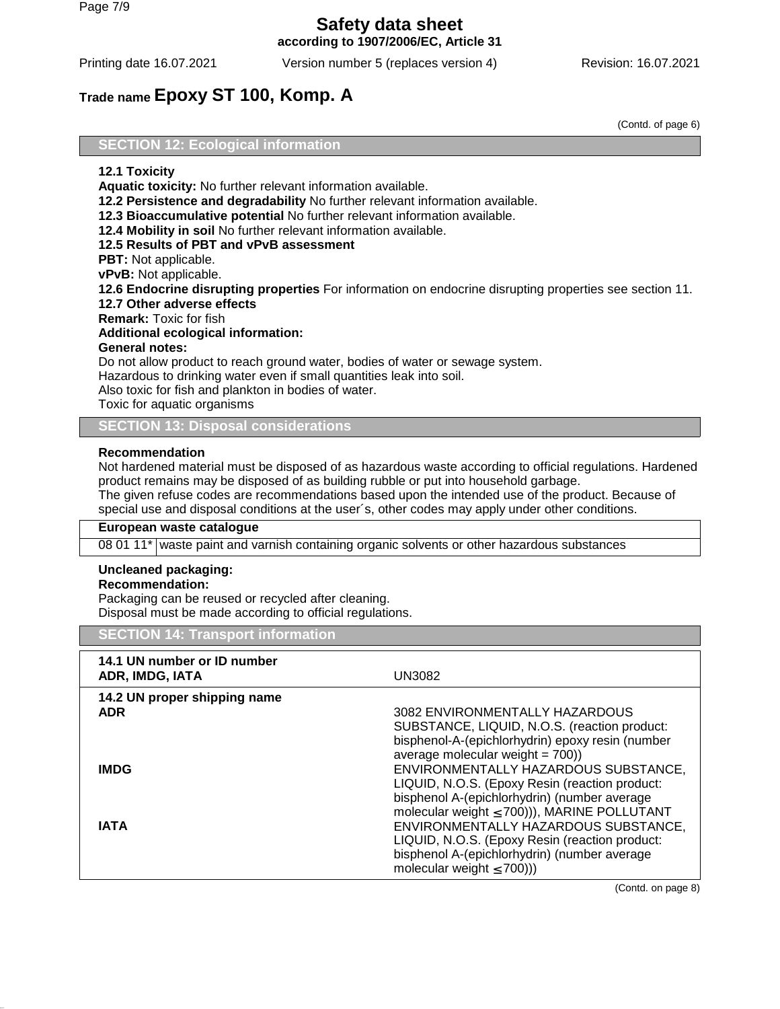**according to 1907/2006/EC, Article 31**

Printing date 16.07.2021 Version number 5 (replaces version 4) Revision: 16.07.2021

# **Trade name Epoxy ST 100, Komp. A**

(Contd. of page 6)

#### **SECTION 12: Ecological information**

#### **12.1 Toxicity**

**Aquatic toxicity:** No further relevant information available. **12.2 Persistence and degradability** No further relevant information available. **12.3 Bioaccumulative potential** No further relevant information available. **12.4 Mobility in soil** No further relevant information available. **12.5 Results of PBT and vPvB assessment PBT:** Not applicable. **vPvB:** Not applicable. **12.6 Endocrine disrupting properties** For information on endocrine disrupting properties see section 11. **12.7 Other adverse effects Remark:** Toxic for fish **Additional ecological information: General notes:** Do not allow product to reach ground water, bodies of water or sewage system. Hazardous to drinking water even if small quantities leak into soil. Also toxic for fish and plankton in bodies of water. Toxic for aquatic organisms

**SECTION 13: Disposal considerations**

#### **Recommendation**

Not hardened material must be disposed of as hazardous waste according to official regulations. Hardened product remains may be disposed of as building rubble or put into household garbage. The given refuse codes are recommendations based upon the intended use of the product. Because of special use and disposal conditions at the user´s, other codes may apply under other conditions.

#### **European waste catalogue**

08 01 11\* waste paint and varnish containing organic solvents or other hazardous substances

#### **Uncleaned packaging:**

#### **Recommendation:**

Packaging can be reused or recycled after cleaning. Disposal must be made according to official regulations.

#### **SECTION 14: Transport information**

| 14.1 UN number or ID number<br>ADR, IMDG, IATA | <b>UN3082</b>                                                                                                                                                                              |
|------------------------------------------------|--------------------------------------------------------------------------------------------------------------------------------------------------------------------------------------------|
| 14.2 UN proper shipping name<br><b>ADR</b>     | 3082 ENVIRONMENTALLY HAZARDOUS<br>SUBSTANCE, LIQUID, N.O.S. (reaction product:<br>bisphenol-A-(epichlorhydrin) epoxy resin (number<br>average molecular weight = $700$ ))                  |
| <b>IMDG</b>                                    | ENVIRONMENTALLY HAZARDOUS SUBSTANCE,<br>LIQUID, N.O.S. (Epoxy Resin (reaction product:<br>bisphenol A-(epichlorhydrin) (number average<br>molecular weight $\leq$ 700))), MARINE POLLUTANT |
| IATA                                           | ENVIRONMENTALLY HAZARDOUS SUBSTANCE,<br>LIQUID, N.O.S. (Epoxy Resin (reaction product:<br>bisphenol A-(epichlorhydrin) (number average<br>molecular weight $\leq$ 700))                    |

(Contd. on page 8)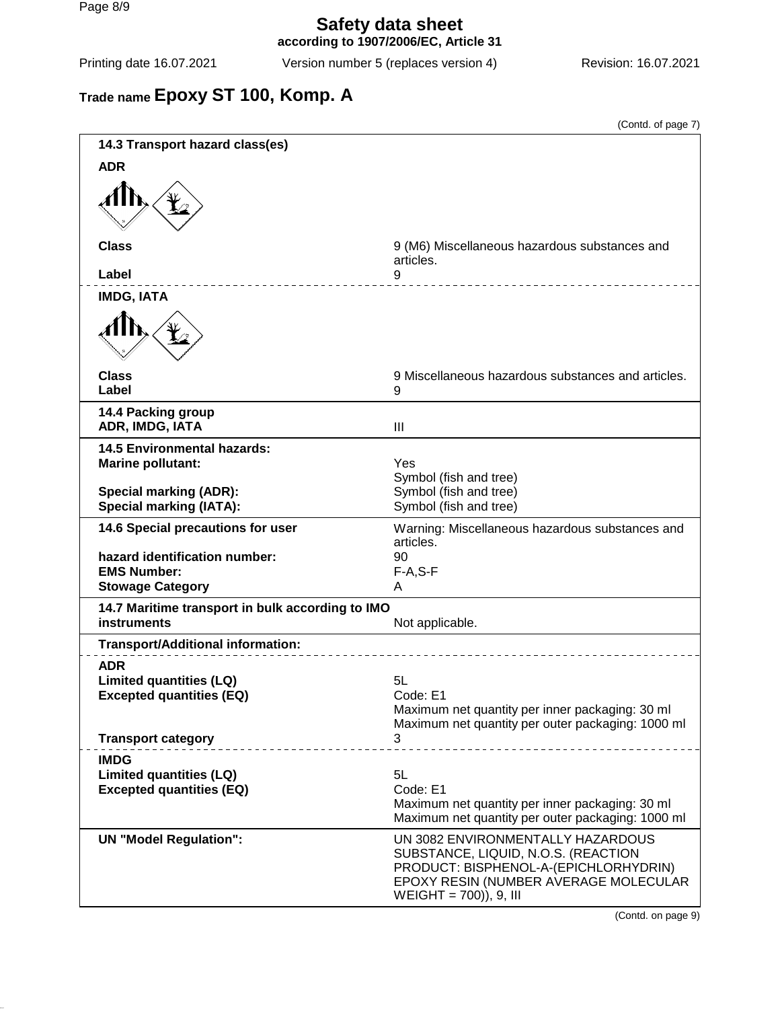**according to 1907/2006/EC, Article 31**

Printing date 16.07.2021 Version number 5 (replaces version 4) Revision: 16.07.2021

# **Trade name Epoxy ST 100, Komp. A**

|                                                                                  | (Contd. of page 7)                                                                                                                                                                   |
|----------------------------------------------------------------------------------|--------------------------------------------------------------------------------------------------------------------------------------------------------------------------------------|
| 14.3 Transport hazard class(es)                                                  |                                                                                                                                                                                      |
| <b>ADR</b>                                                                       |                                                                                                                                                                                      |
|                                                                                  |                                                                                                                                                                                      |
| <b>Class</b><br>Label                                                            | 9 (M6) Miscellaneous hazardous substances and<br>articles.<br>9                                                                                                                      |
| <b>IMDG, IATA</b>                                                                | _________________                                                                                                                                                                    |
|                                                                                  |                                                                                                                                                                                      |
| <b>Class</b><br>Label                                                            | 9 Miscellaneous hazardous substances and articles.<br>9                                                                                                                              |
| 14.4 Packing group<br>ADR, IMDG, IATA                                            | III                                                                                                                                                                                  |
| <b>14.5 Environmental hazards:</b><br><b>Marine pollutant:</b>                   | Yes<br>Symbol (fish and tree)                                                                                                                                                        |
| <b>Special marking (ADR):</b><br><b>Special marking (IATA):</b>                  | Symbol (fish and tree)<br>Symbol (fish and tree)                                                                                                                                     |
| 14.6 Special precautions for user                                                | Warning: Miscellaneous hazardous substances and<br>articles.                                                                                                                         |
| hazard identification number:<br><b>EMS Number:</b><br><b>Stowage Category</b>   | 90<br>$F-A, S-F$<br>A                                                                                                                                                                |
| 14.7 Maritime transport in bulk according to IMO<br><b>instruments</b>           | Not applicable.                                                                                                                                                                      |
| <b>Transport/Additional information:</b>                                         |                                                                                                                                                                                      |
| <b>ADR</b><br><b>Limited quantities (LQ)</b><br><b>Excepted quantities (EQ)</b>  | 5L<br>Code: E1<br>Maximum net quantity per inner packaging: 30 ml<br>Maximum net quantity per outer packaging: 1000 ml                                                               |
| <b>Transport category</b>                                                        | 3                                                                                                                                                                                    |
| <b>IMDG</b><br><b>Limited quantities (LQ)</b><br><b>Excepted quantities (EQ)</b> | 5L<br>Code: E1<br>Maximum net quantity per inner packaging: 30 ml<br>Maximum net quantity per outer packaging: 1000 ml                                                               |
| <b>UN "Model Regulation":</b>                                                    | UN 3082 ENVIRONMENTALLY HAZARDOUS<br>SUBSTANCE, LIQUID, N.O.S. (REACTION<br>PRODUCT: BISPHENOL-A-(EPICHLORHYDRIN)<br>EPOXY RESIN (NUMBER AVERAGE MOLECULAR<br>WEIGHT = 700)), 9, III |

(Contd. on page 9)